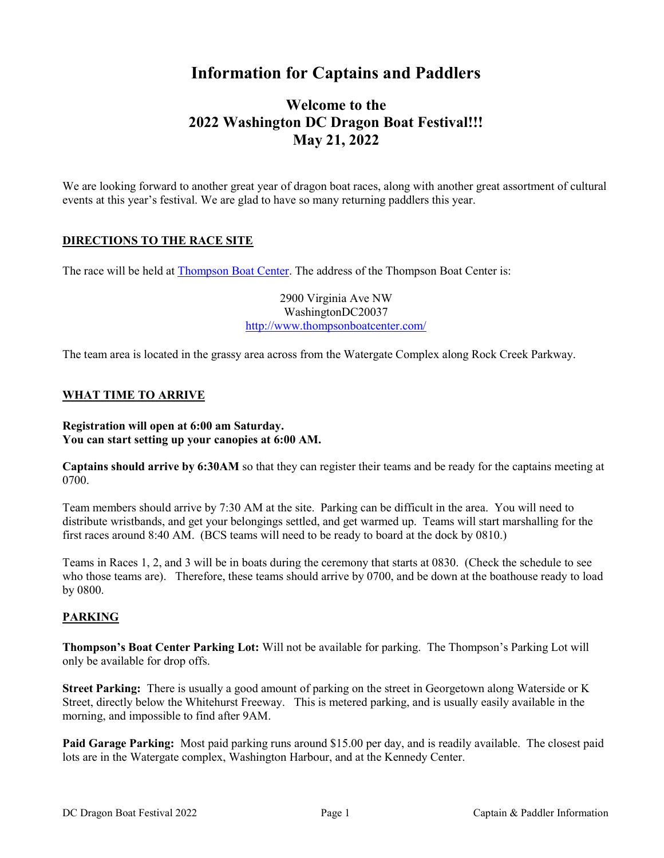# Information for Captains and Paddlers

## Welcome to the 2022 Washington DC Dragon Boat Festival!!! May 21, 2022

We are looking forward to another great year of dragon boat races, along with another great assortment of cultural events at this year's festival. We are glad to have so many returning paddlers this year.

### DIRECTIONS TO THE RACE SITE

The race will be held at Thompson Boat Center. The address of the Thompson Boat Center is:

2900 Virginia Ave NW WashingtonDC20037 http://www.thompsonboatcenter.com/

The team area is located in the grassy area across from the Watergate Complex along Rock Creek Parkway.

### WHAT TIME TO ARRIVE

#### Registration will open at 6:00 am Saturday. You can start setting up your canopies at 6:00 AM.

Captains should arrive by 6:30AM so that they can register their teams and be ready for the captains meeting at 0700.

Team members should arrive by 7:30 AM at the site. Parking can be difficult in the area. You will need to distribute wristbands, and get your belongings settled, and get warmed up. Teams will start marshalling for the first races around 8:40 AM. (BCS teams will need to be ready to board at the dock by 0810.)

Teams in Races 1, 2, and 3 will be in boats during the ceremony that starts at 0830. (Check the schedule to see who those teams are). Therefore, these teams should arrive by 0700, and be down at the boathouse ready to load by 0800.

### PARKING

Thompson's Boat Center Parking Lot: Will not be available for parking. The Thompson's Parking Lot will only be available for drop offs.

Street Parking: There is usually a good amount of parking on the street in Georgetown along Waterside or K Street, directly below the Whitehurst Freeway. This is metered parking, and is usually easily available in the morning, and impossible to find after 9AM.

Paid Garage Parking: Most paid parking runs around \$15.00 per day, and is readily available. The closest paid lots are in the Watergate complex, Washington Harbour, and at the Kennedy Center.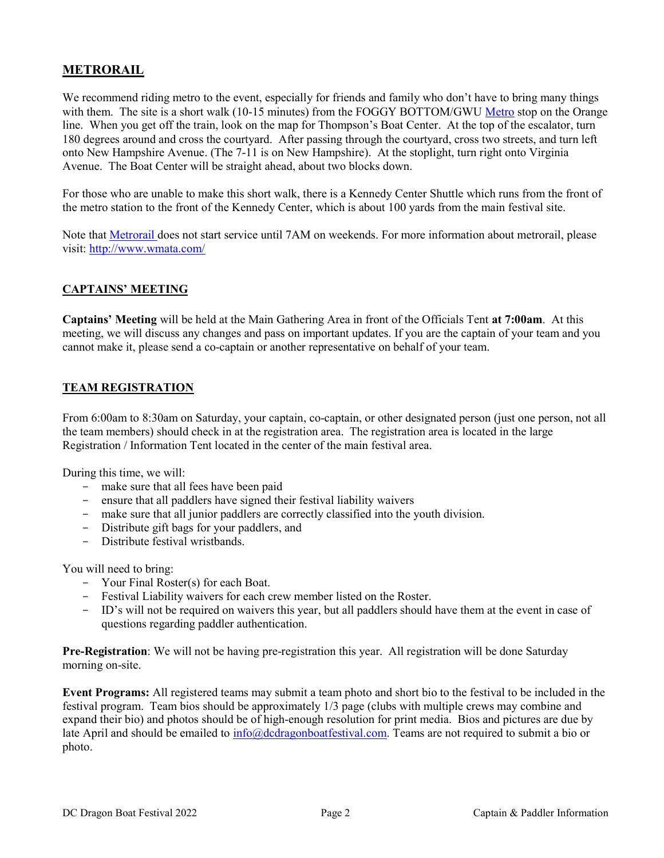### **METRORAIL**

We recommend riding metro to the event, especially for friends and family who don't have to bring many things with them. The site is a short walk (10-15 minutes) from the FOGGY BOTTOM/GWU Metro stop on the Orange line. When you get off the train, look on the map for Thompson's Boat Center. At the top of the escalator, turn 180 degrees around and cross the courtyard. After passing through the courtyard, cross two streets, and turn left onto New Hampshire Avenue. (The 7-11 is on New Hampshire). At the stoplight, turn right onto Virginia Avenue. The Boat Center will be straight ahead, about two blocks down.

For those who are unable to make this short walk, there is a Kennedy Center Shuttle which runs from the front of the metro station to the front of the Kennedy Center, which is about 100 yards from the main festival site.

Note that Metrorail does not start service until 7AM on weekends. For more information about metrorail, please visit: http://www.wmata.com/

### CAPTAINS' MEETING

Captains' Meeting will be held at the Main Gathering Area in front of the Officials Tent at 7:00am. At this meeting, we will discuss any changes and pass on important updates. If you are the captain of your team and you cannot make it, please send a co-captain or another representative on behalf of your team.

### TEAM REGISTRATION

From 6:00am to 8:30am on Saturday, your captain, co-captain, or other designated person (just one person, not all the team members) should check in at the registration area. The registration area is located in the large Registration / Information Tent located in the center of the main festival area.

During this time, we will:

- make sure that all fees have been paid
- ensure that all paddlers have signed their festival liability waivers
- make sure that all junior paddlers are correctly classified into the youth division.
- Distribute gift bags for your paddlers, and
- Distribute festival wristbands.

You will need to bring:

- Your Final Roster(s) for each Boat.
- Festival Liability waivers for each crew member listed on the Roster.
- ID's will not be required on waivers this year, but all paddlers should have them at the event in case of questions regarding paddler authentication.

Pre-Registration: We will not be having pre-registration this year. All registration will be done Saturday morning on-site.

Event Programs: All registered teams may submit a team photo and short bio to the festival to be included in the festival program. Team bios should be approximately 1/3 page (clubs with multiple crews may combine and expand their bio) and photos should be of high-enough resolution for print media. Bios and pictures are due by late April and should be emailed to info@dcdragonboatfestival.com. Teams are not required to submit a bio or photo.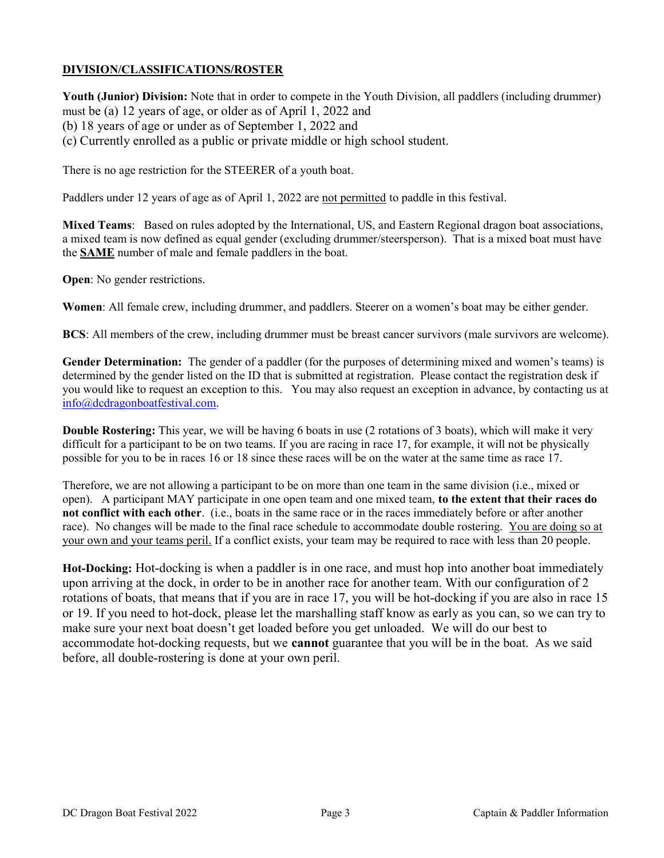### DIVISION/CLASSIFICATIONS/ROSTER

Youth (Junior) Division: Note that in order to compete in the Youth Division, all paddlers (including drummer) must be (a) 12 years of age, or older as of April 1, 2022 and (b) 18 years of age or under as of September 1, 2022 and (c) Currently enrolled as a public or private middle or high school student.

There is no age restriction for the STEERER of a youth boat.

Paddlers under 12 years of age as of April 1, 2022 are not permitted to paddle in this festival.

Mixed Teams: Based on rules adopted by the International, US, and Eastern Regional dragon boat associations, a mixed team is now defined as equal gender (excluding drummer/steersperson). That is a mixed boat must have the SAME number of male and female paddlers in the boat.

Open: No gender restrictions.

Women: All female crew, including drummer, and paddlers. Steerer on a women's boat may be either gender.

BCS: All members of the crew, including drummer must be breast cancer survivors (male survivors are welcome).

Gender Determination: The gender of a paddler (for the purposes of determining mixed and women's teams) is determined by the gender listed on the ID that is submitted at registration. Please contact the registration desk if you would like to request an exception to this. You may also request an exception in advance, by contacting us at info@dcdragonboatfestival.com.

Double Rostering: This year, we will be having 6 boats in use (2 rotations of 3 boats), which will make it very difficult for a participant to be on two teams. If you are racing in race 17, for example, it will not be physically possible for you to be in races 16 or 18 since these races will be on the water at the same time as race 17.

Therefore, we are not allowing a participant to be on more than one team in the same division (i.e., mixed or open). A participant MAY participate in one open team and one mixed team, to the extent that their races do not conflict with each other. (i.e., boats in the same race or in the races immediately before or after another race). No changes will be made to the final race schedule to accommodate double rostering. You are doing so at your own and your teams peril. If a conflict exists, your team may be required to race with less than 20 people.

Hot-Docking: Hot-docking is when a paddler is in one race, and must hop into another boat immediately upon arriving at the dock, in order to be in another race for another team. With our configuration of 2 rotations of boats, that means that if you are in race 17, you will be hot-docking if you are also in race 15 or 19. If you need to hot-dock, please let the marshalling staff know as early as you can, so we can try to make sure your next boat doesn't get loaded before you get unloaded. We will do our best to accommodate hot-docking requests, but we cannot guarantee that you will be in the boat. As we said before, all double-rostering is done at your own peril.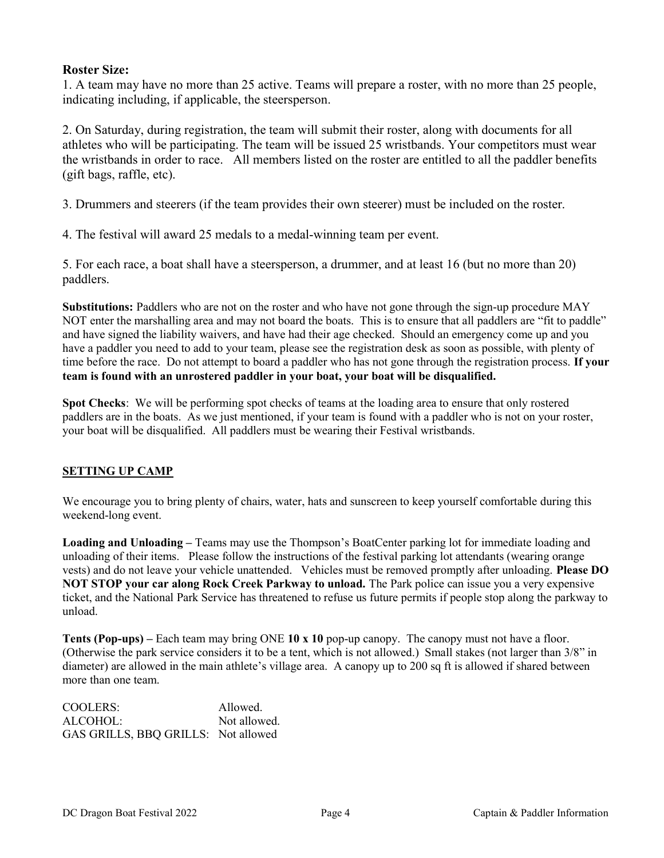### Roster Size:

1. A team may have no more than 25 active. Teams will prepare a roster, with no more than 25 people, indicating including, if applicable, the steersperson.

2. On Saturday, during registration, the team will submit their roster, along with documents for all athletes who will be participating. The team will be issued 25 wristbands. Your competitors must wear the wristbands in order to race. All members listed on the roster are entitled to all the paddler benefits (gift bags, raffle, etc).

3. Drummers and steerers (if the team provides their own steerer) must be included on the roster.

4. The festival will award 25 medals to a medal-winning team per event.

5. For each race, a boat shall have a steersperson, a drummer, and at least 16 (but no more than 20) paddlers.

Substitutions: Paddlers who are not on the roster and who have not gone through the sign-up procedure MAY NOT enter the marshalling area and may not board the boats. This is to ensure that all paddlers are "fit to paddle" and have signed the liability waivers, and have had their age checked. Should an emergency come up and you have a paddler you need to add to your team, please see the registration desk as soon as possible, with plenty of time before the race. Do not attempt to board a paddler who has not gone through the registration process. If your team is found with an unrostered paddler in your boat, your boat will be disqualified.

Spot Checks: We will be performing spot checks of teams at the loading area to ensure that only rostered paddlers are in the boats. As we just mentioned, if your team is found with a paddler who is not on your roster, your boat will be disqualified. All paddlers must be wearing their Festival wristbands.

### SETTING UP CAMP

We encourage you to bring plenty of chairs, water, hats and sunscreen to keep yourself comfortable during this weekend-long event.

Loading and Unloading – Teams may use the Thompson's BoatCenter parking lot for immediate loading and unloading of their items. Please follow the instructions of the festival parking lot attendants (wearing orange vests) and do not leave your vehicle unattended. Vehicles must be removed promptly after unloading. Please DO NOT STOP your car along Rock Creek Parkway to unload. The Park police can issue you a very expensive ticket, and the National Park Service has threatened to refuse us future permits if people stop along the parkway to unload.

Tents (Pop-ups) – Each team may bring ONE 10 x 10 pop-up canopy. The canopy must not have a floor. (Otherwise the park service considers it to be a tent, which is not allowed.) Small stakes (not larger than 3/8" in diameter) are allowed in the main athlete's village area. A canopy up to 200 sq ft is allowed if shared between more than one team.

COOLERS: Allowed. ALCOHOL: Not allowed. GAS GRILLS, BBQ GRILLS: Not allowed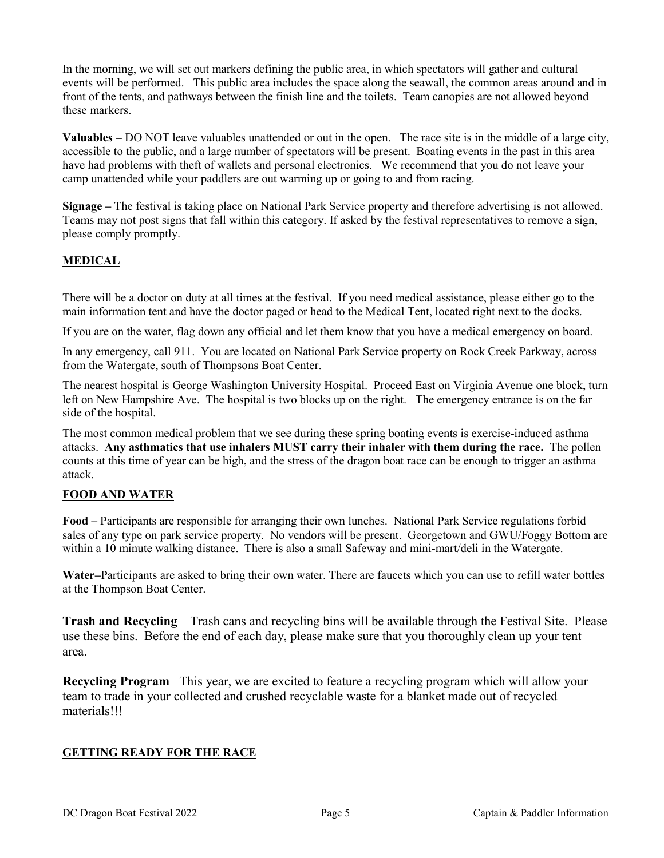In the morning, we will set out markers defining the public area, in which spectators will gather and cultural events will be performed. This public area includes the space along the seawall, the common areas around and in front of the tents, and pathways between the finish line and the toilets. Team canopies are not allowed beyond these markers.

Valuables – DO NOT leave valuables unattended or out in the open. The race site is in the middle of a large city, accessible to the public, and a large number of spectators will be present. Boating events in the past in this area have had problems with theft of wallets and personal electronics. We recommend that you do not leave your camp unattended while your paddlers are out warming up or going to and from racing.

Signage – The festival is taking place on National Park Service property and therefore advertising is not allowed. Teams may not post signs that fall within this category. If asked by the festival representatives to remove a sign, please comply promptly.

### **MEDICAL**

There will be a doctor on duty at all times at the festival. If you need medical assistance, please either go to the main information tent and have the doctor paged or head to the Medical Tent, located right next to the docks.

If you are on the water, flag down any official and let them know that you have a medical emergency on board.

In any emergency, call 911. You are located on National Park Service property on Rock Creek Parkway, across from the Watergate, south of Thompsons Boat Center.

The nearest hospital is George Washington University Hospital. Proceed East on Virginia Avenue one block, turn left on New Hampshire Ave. The hospital is two blocks up on the right. The emergency entrance is on the far side of the hospital.

The most common medical problem that we see during these spring boating events is exercise-induced asthma attacks. Any asthmatics that use inhalers MUST carry their inhaler with them during the race. The pollen counts at this time of year can be high, and the stress of the dragon boat race can be enough to trigger an asthma attack.

### FOOD AND WATER

Food – Participants are responsible for arranging their own lunches. National Park Service regulations forbid sales of any type on park service property. No vendors will be present. Georgetown and GWU/Foggy Bottom are within a 10 minute walking distance. There is also a small Safeway and mini-mart/deli in the Watergate.

Water–Participants are asked to bring their own water. There are faucets which you can use to refill water bottles at the Thompson Boat Center.

Trash and Recycling – Trash cans and recycling bins will be available through the Festival Site. Please use these bins. Before the end of each day, please make sure that you thoroughly clean up your tent area.

Recycling Program –This year, we are excited to feature a recycling program which will allow your team to trade in your collected and crushed recyclable waste for a blanket made out of recycled materials!!!

#### GETTING READY FOR THE RACE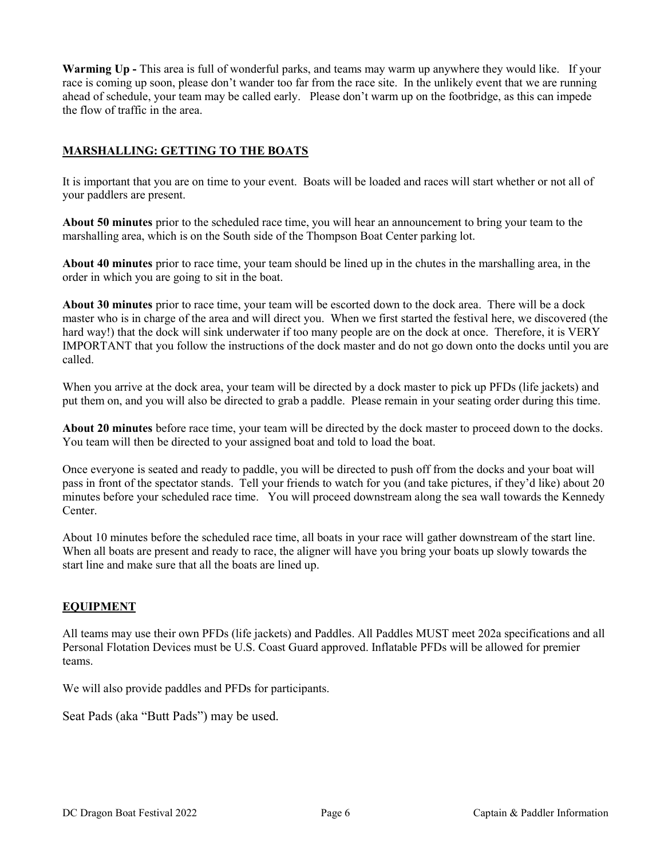Warming Up - This area is full of wonderful parks, and teams may warm up anywhere they would like. If your race is coming up soon, please don't wander too far from the race site. In the unlikely event that we are running ahead of schedule, your team may be called early. Please don't warm up on the footbridge, as this can impede the flow of traffic in the area.

### MARSHALLING: GETTING TO THE BOATS

It is important that you are on time to your event. Boats will be loaded and races will start whether or not all of your paddlers are present.

About 50 minutes prior to the scheduled race time, you will hear an announcement to bring your team to the marshalling area, which is on the South side of the Thompson Boat Center parking lot.

About 40 minutes prior to race time, your team should be lined up in the chutes in the marshalling area, in the order in which you are going to sit in the boat.

About 30 minutes prior to race time, your team will be escorted down to the dock area. There will be a dock master who is in charge of the area and will direct you. When we first started the festival here, we discovered (the hard way!) that the dock will sink underwater if too many people are on the dock at once. Therefore, it is VERY IMPORTANT that you follow the instructions of the dock master and do not go down onto the docks until you are called.

When you arrive at the dock area, your team will be directed by a dock master to pick up PFDs (life jackets) and put them on, and you will also be directed to grab a paddle. Please remain in your seating order during this time.

About 20 minutes before race time, your team will be directed by the dock master to proceed down to the docks. You team will then be directed to your assigned boat and told to load the boat.

Once everyone is seated and ready to paddle, you will be directed to push off from the docks and your boat will pass in front of the spectator stands. Tell your friends to watch for you (and take pictures, if they'd like) about 20 minutes before your scheduled race time. You will proceed downstream along the sea wall towards the Kennedy Center.

About 10 minutes before the scheduled race time, all boats in your race will gather downstream of the start line. When all boats are present and ready to race, the aligner will have you bring your boats up slowly towards the start line and make sure that all the boats are lined up.

#### EQUIPMENT

All teams may use their own PFDs (life jackets) and Paddles. All Paddles MUST meet 202a specifications and all Personal Flotation Devices must be U.S. Coast Guard approved. Inflatable PFDs will be allowed for premier teams.

We will also provide paddles and PFDs for participants.

Seat Pads (aka "Butt Pads") may be used.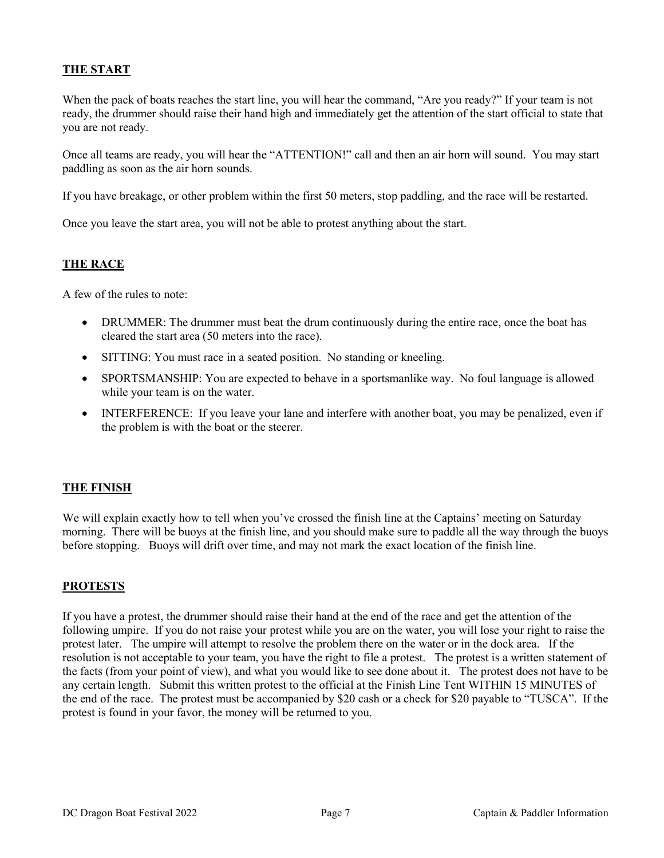### THE START

When the pack of boats reaches the start line, you will hear the command, "Are you ready?" If your team is not ready, the drummer should raise their hand high and immediately get the attention of the start official to state that you are not ready.

Once all teams are ready, you will hear the "ATTENTION!" call and then an air horn will sound. You may start paddling as soon as the air horn sounds.

If you have breakage, or other problem within the first 50 meters, stop paddling, and the race will be restarted.

Once you leave the start area, you will not be able to protest anything about the start.

#### THE RACE

A few of the rules to note:

- DRUMMER: The drummer must beat the drum continuously during the entire race, once the boat has cleared the start area (50 meters into the race).
- SITTING: You must race in a seated position. No standing or kneeling.
- SPORTSMANSHIP: You are expected to behave in a sportsmanlike way. No foul language is allowed while your team is on the water.
- INTERFERENCE: If you leave your lane and interfere with another boat, you may be penalized, even if the problem is with the boat or the steerer.

#### THE FINISH

We will explain exactly how to tell when you've crossed the finish line at the Captains' meeting on Saturday morning. There will be buoys at the finish line, and you should make sure to paddle all the way through the buoys before stopping. Buoys will drift over time, and may not mark the exact location of the finish line.

#### PROTESTS

If you have a protest, the drummer should raise their hand at the end of the race and get the attention of the following umpire. If you do not raise your protest while you are on the water, you will lose your right to raise the protest later. The umpire will attempt to resolve the problem there on the water or in the dock area. If the resolution is not acceptable to your team, you have the right to file a protest. The protest is a written statement of the facts (from your point of view), and what you would like to see done about it. The protest does not have to be any certain length. Submit this written protest to the official at the Finish Line Tent WITHIN 15 MINUTES of the end of the race. The protest must be accompanied by \$20 cash or a check for \$20 payable to "TUSCA". If the protest is found in your favor, the money will be returned to you.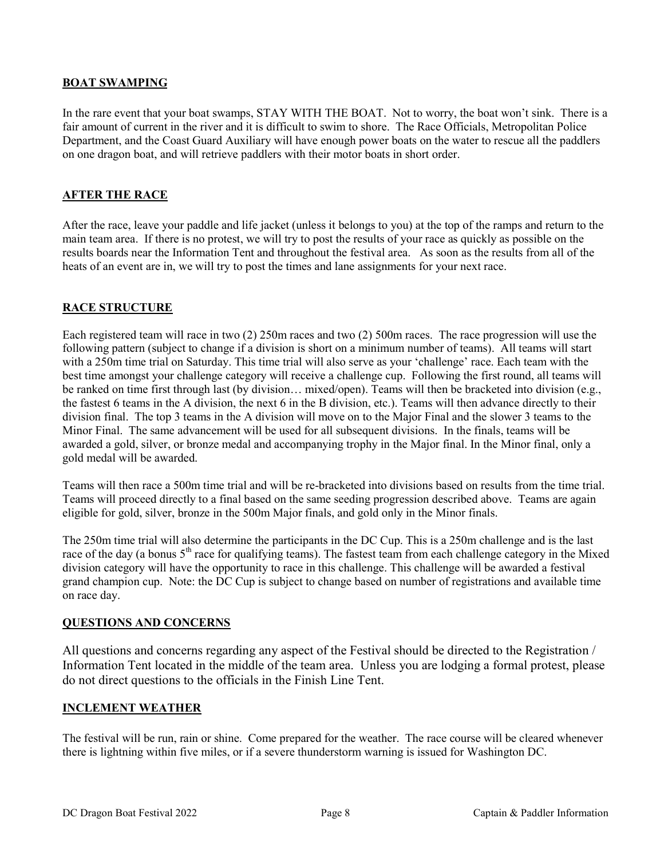### BOAT SWAMPING

In the rare event that your boat swamps, STAY WITH THE BOAT. Not to worry, the boat won't sink. There is a fair amount of current in the river and it is difficult to swim to shore. The Race Officials, Metropolitan Police Department, and the Coast Guard Auxiliary will have enough power boats on the water to rescue all the paddlers on one dragon boat, and will retrieve paddlers with their motor boats in short order.

### AFTER THE RACE

After the race, leave your paddle and life jacket (unless it belongs to you) at the top of the ramps and return to the main team area. If there is no protest, we will try to post the results of your race as quickly as possible on the results boards near the Information Tent and throughout the festival area. As soon as the results from all of the heats of an event are in, we will try to post the times and lane assignments for your next race.

### RACE STRUCTURE

Each registered team will race in two (2) 250m races and two (2) 500m races. The race progression will use the following pattern (subject to change if a division is short on a minimum number of teams). All teams will start with a 250m time trial on Saturday. This time trial will also serve as your 'challenge' race. Each team with the best time amongst your challenge category will receive a challenge cup. Following the first round, all teams will be ranked on time first through last (by division… mixed/open). Teams will then be bracketed into division (e.g., the fastest 6 teams in the A division, the next 6 in the B division, etc.). Teams will then advance directly to their division final. The top 3 teams in the A division will move on to the Major Final and the slower 3 teams to the Minor Final. The same advancement will be used for all subsequent divisions. In the finals, teams will be awarded a gold, silver, or bronze medal and accompanying trophy in the Major final. In the Minor final, only a gold medal will be awarded.

Teams will then race a 500m time trial and will be re-bracketed into divisions based on results from the time trial. Teams will proceed directly to a final based on the same seeding progression described above. Teams are again eligible for gold, silver, bronze in the 500m Major finals, and gold only in the Minor finals.

The 250m time trial will also determine the participants in the DC Cup. This is a 250m challenge and is the last race of the day (a bonus 5<sup>th</sup> race for qualifying teams). The fastest team from each challenge category in the Mixed division category will have the opportunity to race in this challenge. This challenge will be awarded a festival grand champion cup. Note: the DC Cup is subject to change based on number of registrations and available time on race day.

#### QUESTIONS AND CONCERNS

All questions and concerns regarding any aspect of the Festival should be directed to the Registration / Information Tent located in the middle of the team area. Unless you are lodging a formal protest, please do not direct questions to the officials in the Finish Line Tent.

#### INCLEMENT WEATHER

The festival will be run, rain or shine. Come prepared for the weather. The race course will be cleared whenever there is lightning within five miles, or if a severe thunderstorm warning is issued for Washington DC.